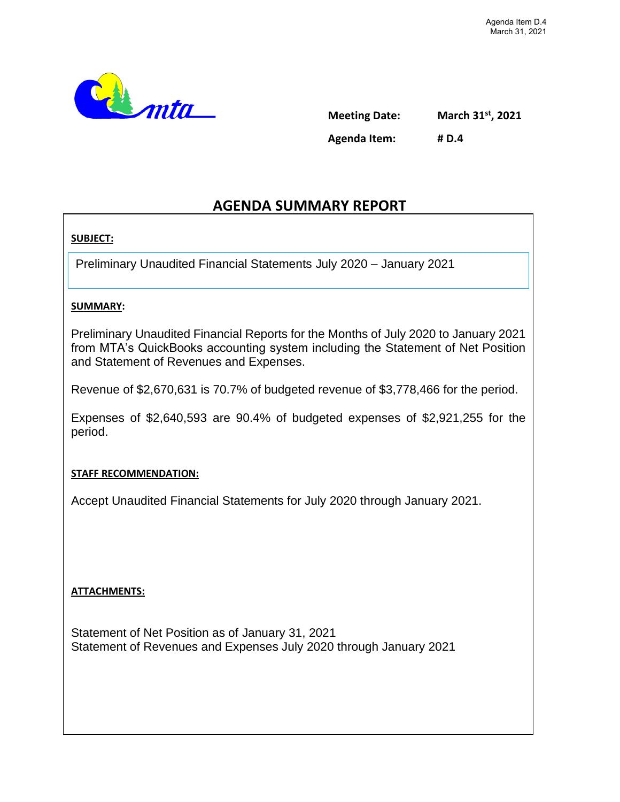

**Meeting Date: March 31st, 2021 Agenda Item: # D.4**

## **AGENDA SUMMARY REPORT**

#### **SUBJECT:**

Preliminary Unaudited Financial Statements July 2020 – January 2021

#### **SUMMARY:**

Preliminary Unaudited Financial Reports for the Months of July 2020 to January 2021 from MTA's QuickBooks accounting system including the Statement of Net Position and Statement of Revenues and Expenses.

Revenue of \$2,670,631 is 70.7% of budgeted revenue of \$3,778,466 for the period.

Expenses of \$2,640,593 are 90.4% of budgeted expenses of \$2,921,255 for the period.

#### **STAFF RECOMMENDATION:**

Accept Unaudited Financial Statements for July 2020 through January 2021.

#### **ATTACHMENTS:**

Statement of Net Position as of January 31, 2021 Statement of Revenues and Expenses July 2020 through January 2021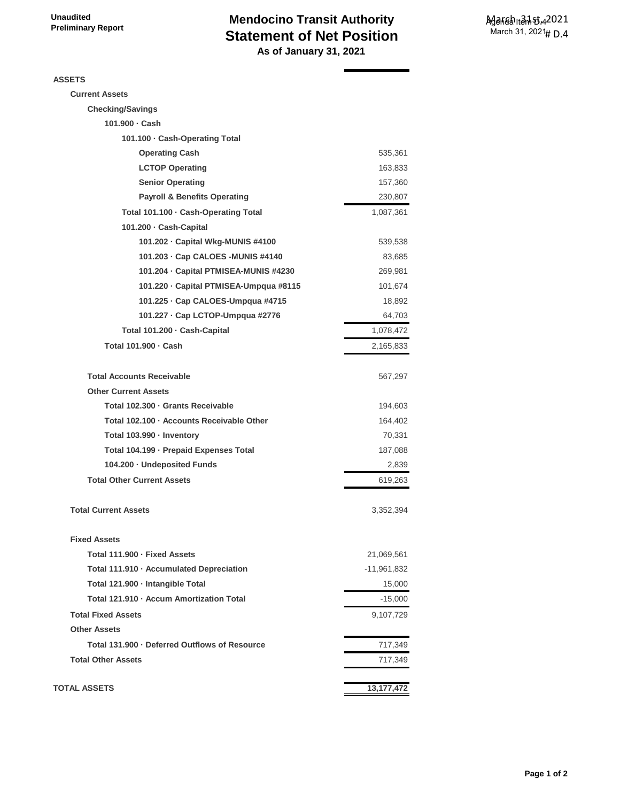## **Mendocino Transit Authority Statement of Net Position As of January 31, 2021**

**ASSETS**

| <b>Current Assets</b>                         |              |
|-----------------------------------------------|--------------|
| <b>Checking/Savings</b>                       |              |
| 101.900 · Cash                                |              |
| 101.100 · Cash-Operating Total                |              |
| <b>Operating Cash</b>                         | 535,361      |
| <b>LCTOP Operating</b>                        | 163,833      |
| <b>Senior Operating</b>                       | 157,360      |
| <b>Payroll &amp; Benefits Operating</b>       | 230,807      |
| Total 101.100 · Cash-Operating Total          | 1,087,361    |
| 101.200 · Cash-Capital                        |              |
| 101.202 - Capital Wkg-MUNIS #4100             | 539,538      |
| 101.203 · Cap CALOES - MUNIS #4140            | 83,685       |
| 101.204 · Capital PTMISEA-MUNIS #4230         | 269,981      |
| 101.220 · Capital PTMISEA-Umpqua #8115        | 101,674      |
| 101.225 · Cap CALOES-Umpqua #4715             | 18,892       |
| 101.227 · Cap LCTOP-Umpqua #2776              | 64,703       |
| Total 101.200 · Cash-Capital                  | 1,078,472    |
| Total 101.900 · Cash                          | 2,165,833    |
|                                               |              |
| <b>Total Accounts Receivable</b>              | 567,297      |
| <b>Other Current Assets</b>                   |              |
| Total 102.300 · Grants Receivable             | 194,603      |
| Total 102.100 · Accounts Receivable Other     | 164,402      |
| Total 103.990 · Inventory                     | 70,331       |
| Total 104.199 · Prepaid Expenses Total        | 187,088      |
| 104.200 · Undeposited Funds                   | 2,839        |
| <b>Total Other Current Assets</b>             | 619,263      |
| <b>Total Current Assets</b>                   | 3,352,394    |
| <b>Fixed Assets</b>                           |              |
| Total 111.900 - Fixed Assets                  | 21,069,561   |
| Total 111.910 · Accumulated Depreciation      | -11,961,832  |
| Total 121.900 · Intangible Total              | 15,000       |
| Total 121.910 · Accum Amortization Total      | $-15,000$    |
| <b>Total Fixed Assets</b>                     | 9,107,729    |
| <b>Other Assets</b>                           |              |
| Total 131.900 · Deferred Outflows of Resource | 717,349      |
| <b>Total Other Assets</b>                     | 717,349      |
| <b>TOTAL ASSETS</b>                           | 13, 177, 472 |
|                                               |              |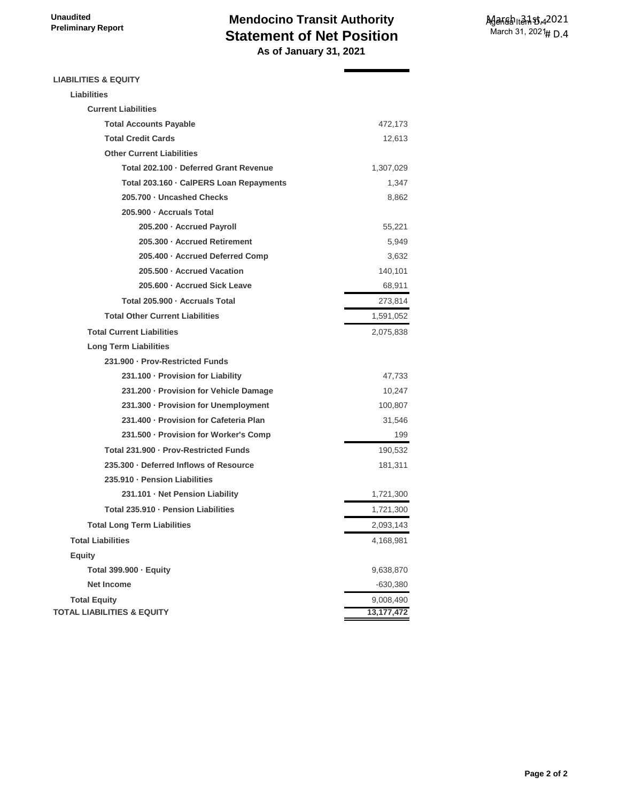## **Mendocino Transit Authority Statement of Net Position As of January 31, 2021**

**LIABILITIES & EQUITY**

| <b>Liabilities</b>                      |              |
|-----------------------------------------|--------------|
| <b>Current Liabilities</b>              |              |
| <b>Total Accounts Payable</b>           | 472,173      |
| <b>Total Credit Cards</b>               | 12,613       |
| <b>Other Current Liabilities</b>        |              |
| Total 202.100 · Deferred Grant Revenue  | 1,307,029    |
| Total 203.160 · CalPERS Loan Repayments | 1,347        |
| 205.700 - Uncashed Checks               | 8,862        |
| 205.900 · Accruals Total                |              |
| 205.200 - Accrued Payroll               | 55,221       |
| 205.300 · Accrued Retirement            | 5,949        |
| 205.400 · Accrued Deferred Comp         | 3,632        |
| 205.500 · Accrued Vacation              | 140,101      |
| 205.600 · Accrued Sick Leave            | 68,911       |
| Total 205.900 · Accruals Total          | 273,814      |
| <b>Total Other Current Liabilities</b>  | 1,591,052    |
| <b>Total Current Liabilities</b>        | 2,075,838    |
| <b>Long Term Liabilities</b>            |              |
| 231.900 · Prov-Restricted Funds         |              |
| 231.100 - Provision for Liability       | 47,733       |
| 231.200 · Provision for Vehicle Damage  | 10,247       |
| 231.300 - Provision for Unemployment    | 100,807      |
| 231.400 - Provision for Cafeteria Plan  | 31,546       |
| 231.500 · Provision for Worker's Comp   | 199          |
| Total 231.900 · Prov-Restricted Funds   | 190,532      |
| 235.300 · Deferred Inflows of Resource  | 181,311      |
| 235.910 - Pension Liabilities           |              |
| 231.101 · Net Pension Liability         | 1,721,300    |
| Total 235.910 - Pension Liabilities     | 1,721,300    |
| <b>Total Long Term Liabilities</b>      | 2,093,143    |
| <b>Total Liabilities</b>                | 4,168,981    |
| <b>Equity</b>                           |              |
| Total 399.900 · Equity                  | 9,638,870    |
| <b>Net Income</b>                       | $-630,380$   |
| <b>Total Equity</b>                     | 9,008,490    |
| <b>TOTAL LIABILITIES &amp; EQUITY</b>   | 13, 177, 472 |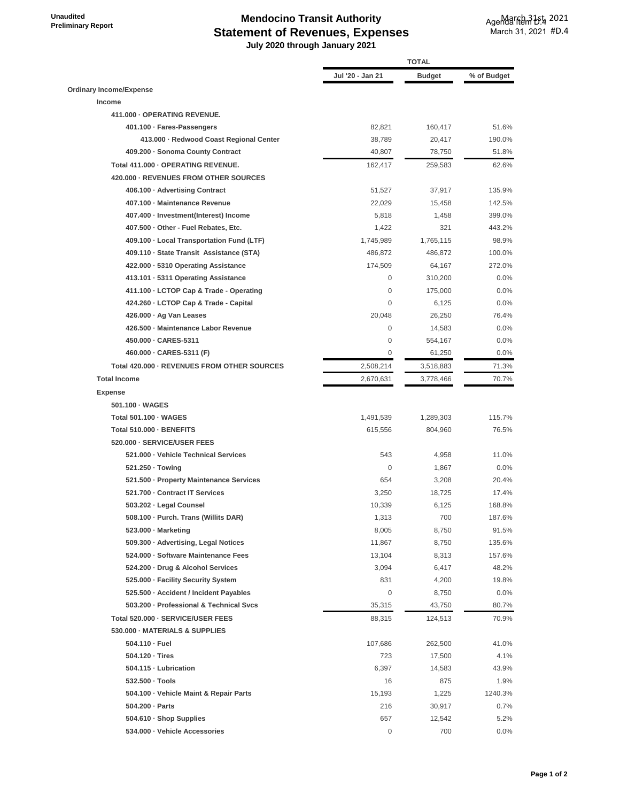**Unaudited Preliminary Report** 

# **Mendocino Transit Authority Statement of Revenues, Expenses**

 **July 2020 through January 2021**

|                                             | <b>TOTAL</b>     |               |             |
|---------------------------------------------|------------------|---------------|-------------|
|                                             | Jul '20 - Jan 21 | <b>Budget</b> | % of Budget |
| <b>Ordinary Income/Expense</b>              |                  |               |             |
| Income                                      |                  |               |             |
| 411.000 - OPERATING REVENUE.                |                  |               |             |
| 401.100 · Fares-Passengers                  | 82,821           | 160,417       | 51.6%       |
| 413.000 - Redwood Coast Regional Center     | 38,789           | 20,417        | 190.0%      |
| 409.200 · Sonoma County Contract            | 40,807           | 78,750        | 51.8%       |
| Total 411.000 - OPERATING REVENUE.          | 162,417          | 259,583       | 62.6%       |
| 420.000 - REVENUES FROM OTHER SOURCES       |                  |               |             |
| 406.100 - Advertising Contract              | 51,527           | 37,917        | 135.9%      |
| 407.100 - Maintenance Revenue               | 22,029           | 15,458        | 142.5%      |
| 407.400 · Investment(Interest) Income       | 5,818            | 1,458         | 399.0%      |
| 407.500 Other - Fuel Rebates, Etc.          | 1,422            | 321           | 443.2%      |
| 409.100 · Local Transportation Fund (LTF)   | 1,745,989        | 1,765,115     | 98.9%       |
| 409.110 · State Transit Assistance (STA)    | 486,872          | 486,872       | 100.0%      |
| 422.000 · 5310 Operating Assistance         | 174,509          | 64,167        | 272.0%      |
| 413.101 · 5311 Operating Assistance         | 0                | 310,200       | 0.0%        |
| 411.100 · LCTOP Cap & Trade - Operating     | $\mathbf 0$      | 175,000       | 0.0%        |
| 424.260 - LCTOP Cap & Trade - Capital       | $\mathbf 0$      | 6,125         | $0.0\%$     |
| 426.000 · Ag Van Leases                     | 20,048           | 26,250        | 76.4%       |
| 426.500 - Maintenance Labor Revenue         | $\mathbf 0$      | 14,583        | $0.0\%$     |
| 450.000 CARES-5311                          | $\mathbf 0$      | 554,167       | $0.0\%$     |
| 460.000 · CARES-5311 (F)                    | 0                | 61,250        | $0.0\%$     |
| Total 420.000 - REVENUES FROM OTHER SOURCES |                  |               | 71.3%       |
|                                             | 2,508,214        | 3,518,883     |             |
| <b>Total Income</b>                         | 2,670,631        | 3,778,466     | 70.7%       |
| <b>Expense</b>                              |                  |               |             |
| 501.100 · WAGES                             |                  |               |             |
| Total 501.100 · WAGES                       | 1,491,539        | 1,289,303     | 115.7%      |
| Total 510.000 - BENEFITS                    | 615,556          | 804,960       | 76.5%       |
| 520.000 · SERVICE/USER FEES                 |                  |               |             |
| 521.000 - Vehicle Technical Services        | 543              | 4,958         | 11.0%       |
| 521.250 · Towing                            | $\mathbf 0$      | 1,867         | $0.0\%$     |
| 521.500 · Property Maintenance Services     | 654              | 3,208         | 20.4%       |
| 521.700 - Contract IT Services              | 3,250            | 18,725        | 17.4%       |
| 503.202 - Legal Counsel                     | 10.339           | 6.125         | 168.8%      |
| 508.100 · Purch. Trans (Willits DAR)        | 1,313            | 700           | 187.6%      |
| 523.000 - Marketing                         | 8,005            | 8,750         | 91.5%       |
| 509.300 - Advertising, Legal Notices        | 11,867           | 8,750         | 135.6%      |
| 524.000 · Software Maintenance Fees         | 13,104           | 8,313         | 157.6%      |
| 524.200 Drug & Alcohol Services             | 3,094            | 6,417         | 48.2%       |
| 525.000 - Facility Security System          | 831              | 4,200         | 19.8%       |
| 525.500 - Accident / Incident Payables      | $\mathbf 0$      | 8,750         | 0.0%        |
| 503.200 · Professional & Technical Svcs     | 35,315           | 43,750        | 80.7%       |
| Total 520.000 - SERVICE/USER FEES           | 88,315           | 124,513       | 70.9%       |
| 530.000 - MATERIALS & SUPPLIES              |                  |               |             |
| 504.110 - Fuel                              | 107,686          | 262,500       | 41.0%       |
| 504.120 · Tires                             | 723              | 17,500        | 4.1%        |
| 504.115 - Lubrication                       | 6,397            | 14,583        | 43.9%       |
| 532.500 · Tools                             | 16               | 875           | 1.9%        |
| 504.100 · Vehicle Maint & Repair Parts      | 15,193           | 1,225         | 1240.3%     |
| 504.200 · Parts                             | 216              | 30,917        | 0.7%        |
| 504.610 · Shop Supplies                     | 657              | 12,542        | 5.2%        |
| 534.000 · Vehicle Accessories               | $\boldsymbol{0}$ | 700           | $0.0\%$     |
|                                             |                  |               |             |